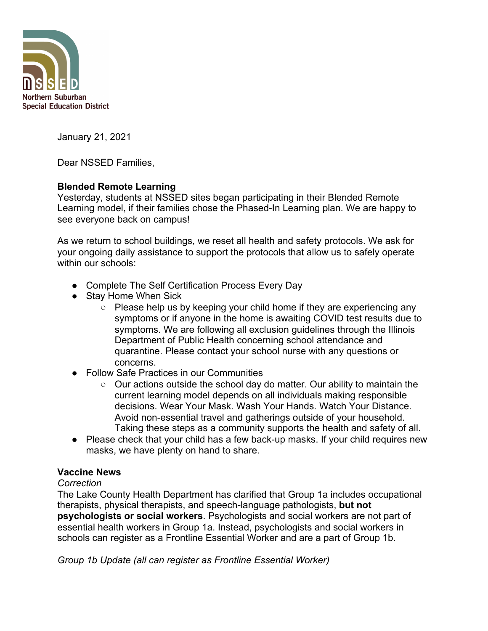

January 21, 2021

Dear NSSED Families,

# **Blended Remote Learning**

Yesterday, students at NSSED sites began participating in their Blended Remote Learning model, if their families chose the Phased-In Learning plan. We are happy to see everyone back on campus!

As we return to school buildings, we reset all health and safety protocols. We ask for your ongoing daily assistance to support the protocols that allow us to safely operate within our schools:

- Complete The Self Certification Process Every Day
- Stay Home When Sick
	- Please help us by keeping your child home if they are experiencing any symptoms or if anyone in the home is awaiting COVID test results due to symptoms. We are following all exclusion guidelines through the Illinois Department of Public Health concerning school attendance and quarantine. Please contact your school nurse with any questions or concerns.
- **Follow Safe Practices in our Communities** 
	- Our actions outside the school day do matter. Our ability to maintain the current learning model depends on all individuals making responsible decisions. Wear Your Mask. Wash Your Hands. Watch Your Distance. Avoid non-essential travel and gatherings outside of your household. Taking these steps as a community supports the health and safety of all.
- Please check that your child has a few back-up masks. If your child requires new masks, we have plenty on hand to share.

## **Vaccine News**

## *Correction*

The Lake County Health Department has clarified that Group 1a includes occupational therapists, physical therapists, and speech-language pathologists, **but not psychologists or social workers**. Psychologists and social workers are not part of essential health workers in Group 1a. Instead, psychologists and social workers in schools can register as a Frontline Essential Worker and are a part of Group 1b.

*Group 1b Update (all can register as Frontline Essential Worker)*